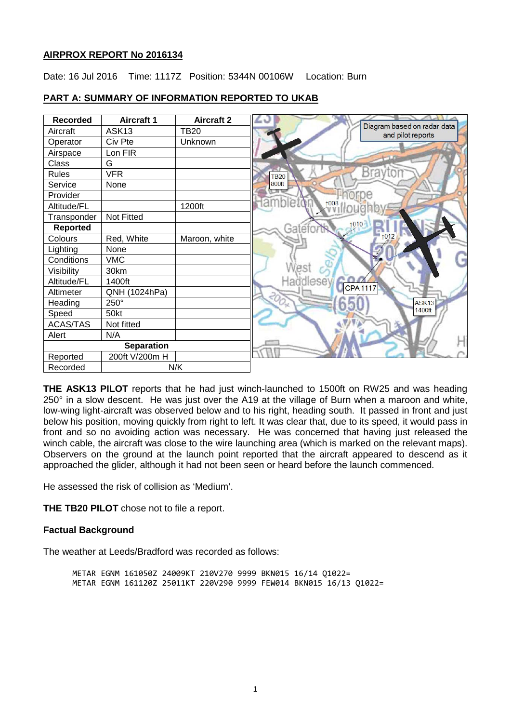## **AIRPROX REPORT No 2016134**

Date: 16 Jul 2016 Time: 1117Z Position: 5344N 00106W Location: Burn



# **PART A: SUMMARY OF INFORMATION REPORTED TO UKAB**

**THE ASK13 PILOT** reports that he had just winch-launched to 1500ft on RW25 and was heading 250° in a slow descent. He was just over the A19 at the village of Burn when a maroon and white, low-wing light-aircraft was observed below and to his right, heading south. It passed in front and just below his position, moving quickly from right to left. It was clear that, due to its speed, it would pass in front and so no avoiding action was necessary. He was concerned that having just released the winch cable, the aircraft was close to the wire launching area (which is marked on the relevant maps). Observers on the ground at the launch point reported that the aircraft appeared to descend as it approached the glider, although it had not been seen or heard before the launch commenced.

He assessed the risk of collision as 'Medium'.

**THE TB20 PILOT** chose not to file a report.

## **Factual Background**

The weather at Leeds/Bradford was recorded as follows:

METAR EGNM 161050Z 24009KT 210V270 9999 BKN015 16/14 Q1022= METAR EGNM 161120Z 25011KT 220V290 9999 FEW014 BKN015 16/13 Q1022=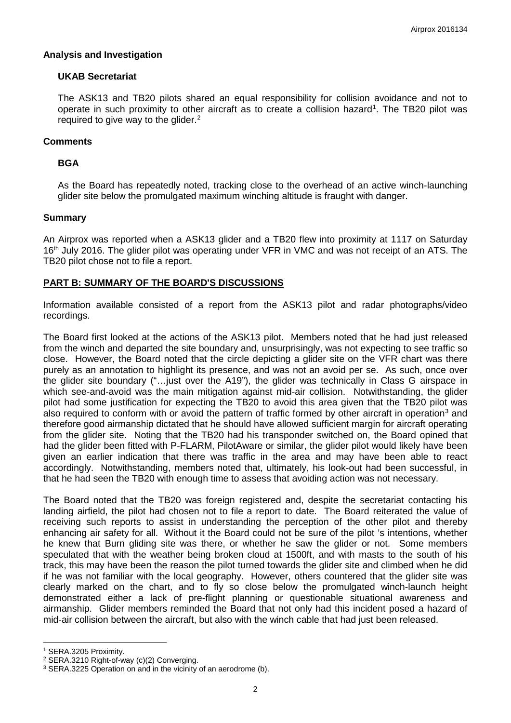### **Analysis and Investigation**

### **UKAB Secretariat**

The ASK13 and TB20 pilots shared an equal responsibility for collision avoidance and not to operate in such proximity to other aircraft as to create a collision hazard<sup>[1](#page-1-0)</sup>. The TB20 pilot was required to give way to the glider.<sup>[2](#page-1-1)</sup>

## **Comments**

### **BGA**

As the Board has repeatedly noted, tracking close to the overhead of an active winch-launching glider site below the promulgated maximum winching altitude is fraught with danger.

### **Summary**

An Airprox was reported when a ASK13 glider and a TB20 flew into proximity at 1117 on Saturday 16<sup>th</sup> July 2016. The glider pilot was operating under VFR in VMC and was not receipt of an ATS. The TB20 pilot chose not to file a report.

## **PART B: SUMMARY OF THE BOARD'S DISCUSSIONS**

Information available consisted of a report from the ASK13 pilot and radar photographs/video recordings.

The Board first looked at the actions of the ASK13 pilot. Members noted that he had just released from the winch and departed the site boundary and, unsurprisingly, was not expecting to see traffic so close. However, the Board noted that the circle depicting a glider site on the VFR chart was there purely as an annotation to highlight its presence, and was not an avoid per se. As such, once over the glider site boundary ("…just over the A19"), the glider was technically in Class G airspace in which see-and-avoid was the main mitigation against mid-air collision. Notwithstanding, the glider pilot had some justification for expecting the TB20 to avoid this area given that the TB20 pilot was also required to conform with or avoid the pattern of traffic formed by other aircraft in operation<sup>[3](#page-1-2)</sup> and therefore good airmanship dictated that he should have allowed sufficient margin for aircraft operating from the glider site. Noting that the TB20 had his transponder switched on, the Board opined that had the glider been fitted with P-FLARM, PilotAware or similar, the glider pilot would likely have been given an earlier indication that there was traffic in the area and may have been able to react accordingly. Notwithstanding, members noted that, ultimately, his look-out had been successful, in that he had seen the TB20 with enough time to assess that avoiding action was not necessary.

The Board noted that the TB20 was foreign registered and, despite the secretariat contacting his landing airfield, the pilot had chosen not to file a report to date. The Board reiterated the value of receiving such reports to assist in understanding the perception of the other pilot and thereby enhancing air safety for all. Without it the Board could not be sure of the pilot 's intentions, whether he knew that Burn gliding site was there, or whether he saw the glider or not. Some members speculated that with the weather being broken cloud at 1500ft, and with masts to the south of his track, this may have been the reason the pilot turned towards the glider site and climbed when he did if he was not familiar with the local geography. However, others countered that the glider site was clearly marked on the chart, and to fly so close below the promulgated winch-launch height demonstrated either a lack of pre-flight planning or questionable situational awareness and airmanship. Glider members reminded the Board that not only had this incident posed a hazard of mid-air collision between the aircraft, but also with the winch cable that had just been released.

 $\overline{\phantom{a}}$ 

<span id="page-1-0"></span><sup>1</sup> SERA.3205 Proximity.

<span id="page-1-1"></span><sup>2</sup> SERA.3210 Right-of-way (c)(2) Converging.

<span id="page-1-2"></span><sup>3</sup> SERA.3225 Operation on and in the vicinity of an aerodrome (b).